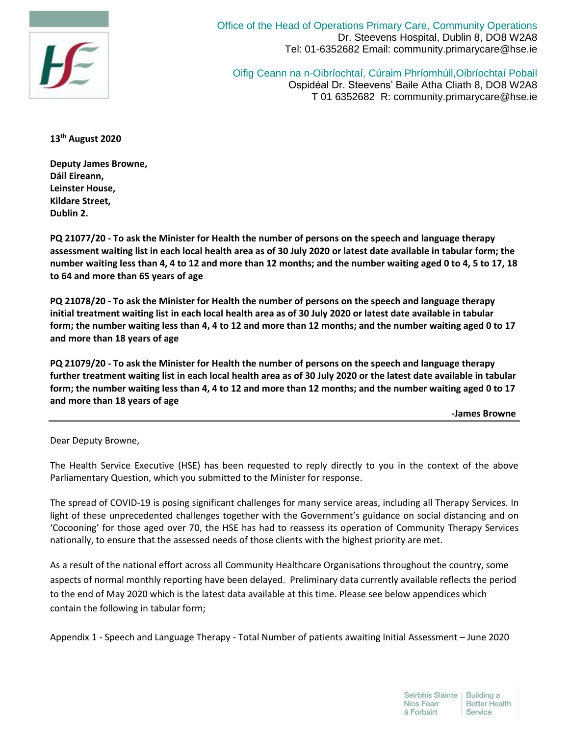

Office of the Head of Operations Primary Care, Community Operations Dr. Steevens Hospital, Dublin 8, DO8 W2A8 Tel: 01-6352682 Email: community.primarycare@hse.ie

Oifig Ceann na n-Oibríochtaí, Cúraim Phríomhúil,Oibríochtaí Pobail Ospidéal Dr. Steevens' Baile Atha Cliath 8, DO8 W2A8 T 01 6352682 R: community.primarycare@hse.ie

**13th August 2020**

**Deputy James Browne, Dáil Eireann, Leinster House, Kildare Street, Dublin 2.**

**PQ 21077/20 - To ask the Minister for Health the number of persons on the speech and language therapy assessment waiting list in each local health area as of 30 July 2020 or latest date available in tabular form; the number waiting less than 4, 4 to 12 and more than 12 months; and the number waiting aged 0 to 4, 5 to 17, 18 to 64 and more than 65 years of age**

**PQ 21078/20 - To ask the Minister for Health the number of persons on the speech and language therapy initial treatment waiting list in each local health area as of 30 July 2020 or latest date available in tabular form; the number waiting less than 4, 4 to 12 and more than 12 months; and the number waiting aged 0 to 17 and more than 18 years of age**

**PQ 21079/20 - To ask the Minister for Health the number of persons on the speech and language therapy further treatment waiting list in each local health area as of 30 July 2020 or the latest date available in tabular form; the number waiting less than 4, 4 to 12 and more than 12 months; and the number waiting aged 0 to 17 and more than 18 years of age**

**-James Browne** 

Dear Deputy Browne,

The Health Service Executive (HSE) has been requested to reply directly to you in the context of the above Parliamentary Question, which you submitted to the Minister for response.

The spread of COVID-19 is posing significant challenges for many service areas, including all Therapy Services. In light of these unprecedented challenges together with the Government's guidance on social distancing and on 'Cocooning' for those aged over 70, the HSE has had to reassess its operation of Community Therapy Services nationally, to ensure that the assessed needs of those clients with the highest priority are met.

As a result of the national effort across all Community Healthcare Organisations throughout the country, some aspects of normal monthly reporting have been delayed. Preliminary data currently available reflects the period to the end of May 2020 which is the latest data available at this time. Please see below appendices which contain the following in tabular form;

Appendix 1 - Speech and Language Therapy - Total Number of patients awaiting Initial Assessment – June 2020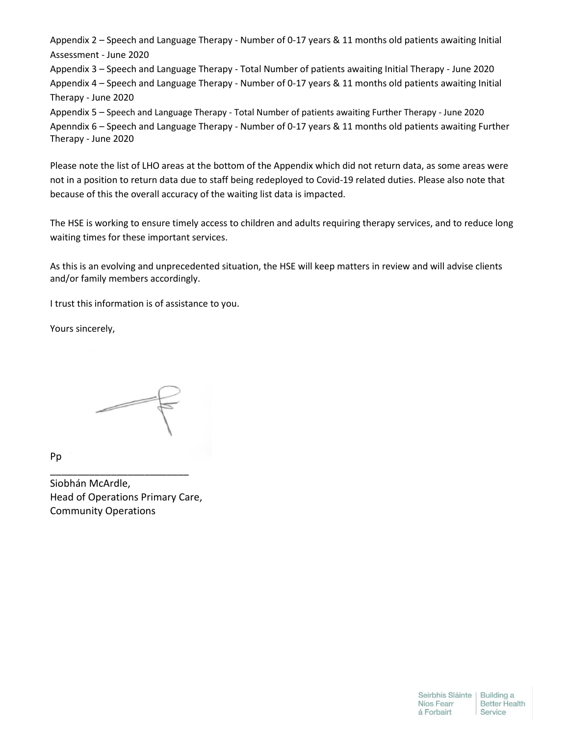Appendix 2 – Speech and Language Therapy - Number of 0-17 years & 11 months old patients awaiting Initial Assessment - June 2020

Appendix 3 – Speech and Language Therapy - Total Number of patients awaiting Initial Therapy - June 2020 Appendix 4 – Speech and Language Therapy - Number of 0-17 years & 11 months old patients awaiting Initial Therapy - June 2020

Appendix 5 – Speech and Language Therapy - Total Number of patients awaiting Further Therapy - June 2020 Apenndix 6 – Speech and Language Therapy - Number of 0-17 years & 11 months old patients awaiting Further Therapy - June 2020

Please note the list of LHO areas at the bottom of the Appendix which did not return data, as some areas were not in a position to return data due to staff being redeployed to Covid-19 related duties. Please also note that because of this the overall accuracy of the waiting list data is impacted.

The HSE is working to ensure timely access to children and adults requiring therapy services, and to reduce long waiting times for these important services.

As this is an evolving and unprecedented situation, the HSE will keep matters in review and will advise clients and/or family members accordingly.

I trust this information is of assistance to you.

Yours sincerely,

Pp

Siobhán McArdle, Head of Operations Primary Care, Community Operations

\_\_\_\_\_\_\_\_\_\_\_\_\_\_\_\_\_\_\_\_\_\_\_\_\_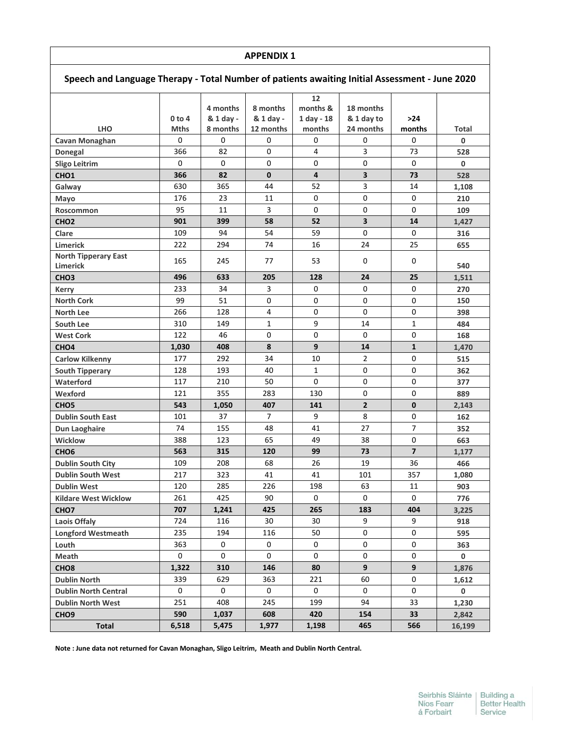| Speech and Language Therapy - Total Number of patients awaiting Initial Assessment - June 2020 |             |                       |                       |                              |                         |                |        |  |  |
|------------------------------------------------------------------------------------------------|-------------|-----------------------|-----------------------|------------------------------|-------------------------|----------------|--------|--|--|
|                                                                                                | $0$ to 4    | 4 months<br>& 1 day - | 8 months<br>& 1 day - | 12<br>months &<br>1 day - 18 | 18 months<br>& 1 day to | $>24$          |        |  |  |
| <b>LHO</b>                                                                                     | <b>Mths</b> | 8 months              | 12 months             | months                       | 24 months               | months         | Total  |  |  |
| Cavan Monaghan                                                                                 | 0           | 0                     | 0                     | 0                            | 0                       | 0              | 0      |  |  |
| <b>Donegal</b>                                                                                 | 366         | 82                    | 0                     | 4                            | 3                       | 73             | 528    |  |  |
| <b>Sligo Leitrim</b>                                                                           | 0           | 0                     | 0                     | 0                            | $\mathbf 0$             | 0              | 0      |  |  |
| CHO <sub>1</sub>                                                                               | 366         | 82                    | 0                     | 4                            | $\overline{\mathbf{3}}$ | 73             | 528    |  |  |
| Galway                                                                                         | 630         | 365                   | 44                    | 52                           | 3                       | 14             | 1,108  |  |  |
| Mayo                                                                                           | 176         | 23                    | 11                    | 0                            | 0                       | 0              | 210    |  |  |
| Roscommon                                                                                      | 95          | 11                    | 3                     | 0                            | 0                       | $\Omega$       | 109    |  |  |
| CHO <sub>2</sub>                                                                               | 901         | 399                   | 58                    | 52                           | $\overline{\mathbf{3}}$ | 14             | 1,427  |  |  |
| Clare                                                                                          | 109         | 94                    | 54                    | 59                           | 0                       | 0              | 316    |  |  |
| Limerick                                                                                       | 222         | 294                   | 74                    | 16                           | 24                      | 25             | 655    |  |  |
| <b>North Tipperary East</b><br><b>Limerick</b>                                                 | 165         | 245                   | 77                    | 53                           | 0                       | 0              | 540    |  |  |
| CHO <sub>3</sub>                                                                               | 496         | 633                   | 205                   | 128                          | 24                      | 25             | 1,511  |  |  |
| <b>Kerry</b>                                                                                   | 233         | 34                    | 3                     | 0                            | 0                       | 0              | 270    |  |  |
| <b>North Cork</b>                                                                              | 99          | 51                    | 0                     | 0                            | 0                       | 0              | 150    |  |  |
| <b>North Lee</b>                                                                               | 266         | 128                   | 4                     | 0                            | 0                       | 0              | 398    |  |  |
| South Lee                                                                                      | 310         | 149                   | 1                     | 9                            | 14                      | $\mathbf{1}$   | 484    |  |  |
| <b>West Cork</b>                                                                               | 122         | 46                    | 0                     | 0                            | 0                       | 0              | 168    |  |  |
| CHO <sub>4</sub>                                                                               | 1,030       | 408                   | 8                     | 9                            | 14                      | $\mathbf{1}$   | 1,470  |  |  |
| <b>Carlow Kilkenny</b>                                                                         | 177         | 292                   | 34                    | 10                           | $\overline{2}$          | 0              | 515    |  |  |
| <b>South Tipperary</b>                                                                         | 128         | 193                   | 40                    | 1                            | 0                       | 0              | 362    |  |  |
| Waterford                                                                                      | 117         | 210                   | 50                    | 0                            | 0                       | 0              | 377    |  |  |
| Wexford                                                                                        | 121         | 355                   | 283                   | 130                          | 0                       | 0              | 889    |  |  |
| CHO <sub>5</sub>                                                                               | 543         | 1,050                 | 407                   | 141                          | $\overline{2}$          | $\mathbf{0}$   | 2,143  |  |  |
| <b>Dublin South East</b>                                                                       | 101         | 37                    | 7                     | 9                            | 8                       | 0              | 162    |  |  |
| Dun Laoghaire                                                                                  | 74          | 155                   | 48                    | 41                           | 27                      | $\overline{7}$ | 352    |  |  |
| <b>Wicklow</b>                                                                                 | 388         | 123                   | 65                    | 49                           | 38                      | 0              | 663    |  |  |
| CHO <sub>6</sub>                                                                               | 563         | 315                   | 120                   | 99                           | 73                      | $\overline{7}$ | 1,177  |  |  |
| <b>Dublin South City</b>                                                                       | 109         | 208                   | 68                    | 26                           | 19                      | 36             | 466    |  |  |
| <b>Dublin South West</b>                                                                       | 217         | 323                   | 41                    | 41                           | 101                     | 357            | 1,080  |  |  |
| <b>Dublin West</b>                                                                             | 120         | 285                   | 226                   | 198                          | 63                      | $11\,$         | 903    |  |  |
| <b>Kildare West Wicklow</b>                                                                    | 261         | 425                   | 90                    | 0                            | $\mathbf 0$             | 0              | 776    |  |  |
| CHO <sub>7</sub>                                                                               | 707         | 1,241                 | 425                   | 265                          | 183                     | 404            | 3,225  |  |  |
| Laois Offaly                                                                                   | 724         | 116                   | 30                    | 30                           | 9                       | 9              | 918    |  |  |
| <b>Longford Westmeath</b>                                                                      | 235         | 194                   | 116                   | 50                           | 0                       | 0              | 595    |  |  |
| Louth                                                                                          | 363         | 0                     | 0                     | 0                            | 0                       | 0              | 363    |  |  |
| Meath                                                                                          | 0           | 0                     | 0                     | 0                            | 0                       | 0              | 0      |  |  |
| CHO <sub>8</sub>                                                                               | 1,322       | 310                   | 146                   | 80                           | 9                       | 9              | 1,876  |  |  |
| <b>Dublin North</b>                                                                            | 339         | 629                   | 363                   | 221                          | 60                      | 0              | 1,612  |  |  |
| <b>Dublin North Central</b>                                                                    | 0           | 0                     | 0                     | 0                            | 0                       | 0              | 0      |  |  |
| <b>Dublin North West</b>                                                                       | 251         | 408                   | 245                   | 199                          | 94                      | 33             | 1,230  |  |  |
| CHO <sub>9</sub>                                                                               | 590         | 1,037                 | 608                   | 420                          | 154                     | 33             | 2,842  |  |  |
| <b>Total</b>                                                                                   | 6,518       | 5,475                 | 1,977                 | 1,198                        | 465                     | 566            | 16,199 |  |  |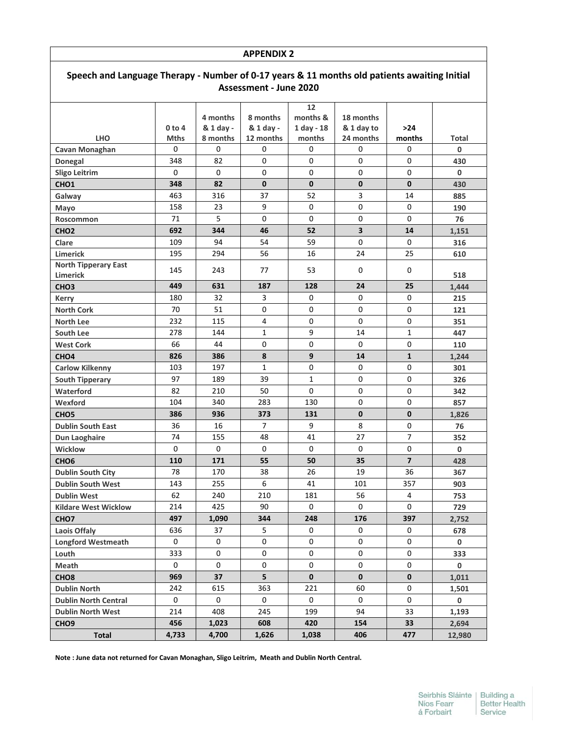| Speech and Language Therapy - Number of 0-17 years & 11 months old patients awaiting Initial<br><b>Assessment - June 2020</b> |                   |           |                |              |              |                |              |  |  |  |
|-------------------------------------------------------------------------------------------------------------------------------|-------------------|-----------|----------------|--------------|--------------|----------------|--------------|--|--|--|
| 12                                                                                                                            |                   |           |                |              |              |                |              |  |  |  |
|                                                                                                                               |                   | 4 months  | 8 months       | months &     | 18 months    |                |              |  |  |  |
|                                                                                                                               | 0 <sub>to 4</sub> | & 1 day - | & 1 day -      | 1 day - 18   | & 1 day to   | >24            |              |  |  |  |
| <b>LHO</b>                                                                                                                    | <b>Mths</b>       | 8 months  | 12 months      | months       | 24 months    | months         | Total        |  |  |  |
| Cavan Monaghan                                                                                                                | $\mathbf 0$       | 0         | 0              | 0            | 0            | 0              | 0            |  |  |  |
| <b>Donegal</b>                                                                                                                | 348               | 82        | 0              | 0            | 0            | 0              | 430          |  |  |  |
| <b>Sligo Leitrim</b>                                                                                                          | 0                 | 0         | $\mathsf 0$    | 0            | 0            | 0              | 0            |  |  |  |
| CHO <sub>1</sub>                                                                                                              | 348               | 82        | $\mathbf{0}$   | $\mathbf{0}$ | 0            | $\mathbf{0}$   | 430          |  |  |  |
| Galway                                                                                                                        | 463               | 316       | 37             | 52           | 3            | 14             | 885          |  |  |  |
| Mayo                                                                                                                          | 158               | 23        | 9              | 0            | 0            | 0              | 190          |  |  |  |
| Roscommon                                                                                                                     | 71                | 5         | 0              | 0            | 0            | $\Omega$       | 76           |  |  |  |
| CHO <sub>2</sub>                                                                                                              | 692               | 344       | 46             | 52           | 3            | 14             | 1,151        |  |  |  |
| Clare                                                                                                                         | 109               | 94        | 54             | 59           | 0            | 0              | 316          |  |  |  |
| <b>Limerick</b>                                                                                                               | 195               | 294       | 56             | 16           | 24           | 25             | 610          |  |  |  |
| <b>North Tipperary East</b><br><b>Limerick</b>                                                                                | 145               | 243       | 77             | 53           | 0            | 0              | 518          |  |  |  |
| CHO <sub>3</sub>                                                                                                              | 449               | 631       | 187            | 128          | 24           | 25             | 1,444        |  |  |  |
| <b>Kerry</b>                                                                                                                  | 180               | 32        | 3              | 0            | 0            | 0              | 215          |  |  |  |
| <b>North Cork</b>                                                                                                             | 70                | 51        | 0              | 0            | 0            | 0              | 121          |  |  |  |
| <b>North Lee</b>                                                                                                              | 232               | 115       | 4              | 0            | 0            | 0              | 351          |  |  |  |
| South Lee                                                                                                                     | 278               | 144       | $\mathbf{1}$   | 9            | 14           | $\mathbf{1}$   | 447          |  |  |  |
| <b>West Cork</b>                                                                                                              | 66                | 44        | 0              | 0            | 0            | 0              | 110          |  |  |  |
| CHO <sub>4</sub>                                                                                                              | 826               | 386       | 8              | 9            | 14           | $\mathbf{1}$   | 1,244        |  |  |  |
| <b>Carlow Kilkenny</b>                                                                                                        | 103               | 197       | $\mathbf{1}$   | 0            | 0            | 0              | 301          |  |  |  |
| <b>South Tipperary</b>                                                                                                        | 97                | 189       | 39             | 1            | 0            | 0              | 326          |  |  |  |
| Waterford                                                                                                                     | 82                | 210       | 50             | 0            | 0            | 0              | 342          |  |  |  |
| Wexford                                                                                                                       | 104               | 340       | 283            | 130          | 0            | 0              | 857          |  |  |  |
| CHO <sub>5</sub>                                                                                                              | 386               | 936       | 373            | 131          | $\mathbf{0}$ | $\mathbf{0}$   | 1,826        |  |  |  |
| <b>Dublin South East</b>                                                                                                      | 36                | 16        | $\overline{7}$ | 9            | 8            | 0              | 76           |  |  |  |
| Dun Laoghaire                                                                                                                 | 74                | 155       | 48             | 41           | 27           | $\overline{7}$ | 352          |  |  |  |
| Wicklow                                                                                                                       | $\mathbf 0$       | 0         | 0              | 0            | 0            | 0              | $\mathbf{0}$ |  |  |  |
| CHO <sub>6</sub>                                                                                                              | 110               | 171       | 55             | 50           | 35           | $\overline{7}$ | 428          |  |  |  |
| <b>Dublin South City</b>                                                                                                      | 78                | 170       | 38             | 26           | 19           | 36             | 367          |  |  |  |
| <b>Dublin South West</b>                                                                                                      | 143               | 255       | 6              | 41           | 101          | 357            | 903          |  |  |  |
| <b>Dublin West</b>                                                                                                            | 62                | 240       | 210            | 181          | 56           | 4              | 753          |  |  |  |
| <b>Kildare West Wicklow</b>                                                                                                   | 214               | 425       | 90             | 0            | 0            | 0              | 729          |  |  |  |
| CHO <sub>7</sub>                                                                                                              | 497               | 1,090     | 344            | 248          | 176          | 397            | 2,752        |  |  |  |
| Laois Offaly                                                                                                                  | 636               | 37        | 5              | 0            | $\mathbf 0$  | 0              | 678          |  |  |  |
| <b>Longford Westmeath</b>                                                                                                     | 0                 | 0         | 0              | 0            | 0            | 0              | $\mathbf 0$  |  |  |  |
| Louth                                                                                                                         | 333               | 0         | 0              | 0            | 0            | 0              | 333          |  |  |  |
| Meath                                                                                                                         | 0                 | 0         | 0              | 0            | 0            | 0              | 0            |  |  |  |
| CHO <sub>8</sub>                                                                                                              | 969               | 37        | 5              | $\mathbf 0$  | $\mathbf 0$  | $\mathbf 0$    | 1,011        |  |  |  |
| <b>Dublin North</b>                                                                                                           | 242               | 615       | 363            | 221          | 60           | 0              | 1,501        |  |  |  |
| <b>Dublin North Central</b>                                                                                                   | 0                 | 0         | 0              | 0            | 0            | 0              | 0            |  |  |  |
| <b>Dublin North West</b>                                                                                                      | 214               | 408       | 245            | 199          | 94           | 33             | 1,193        |  |  |  |
| CHO <sub>9</sub>                                                                                                              | 456               | 1,023     | 608            | 420          | 154          | 33             | 2,694        |  |  |  |
| <b>Total</b>                                                                                                                  | 4,733             | 4,700     | 1,626          | 1,038        | 406          | 477            | 12,980       |  |  |  |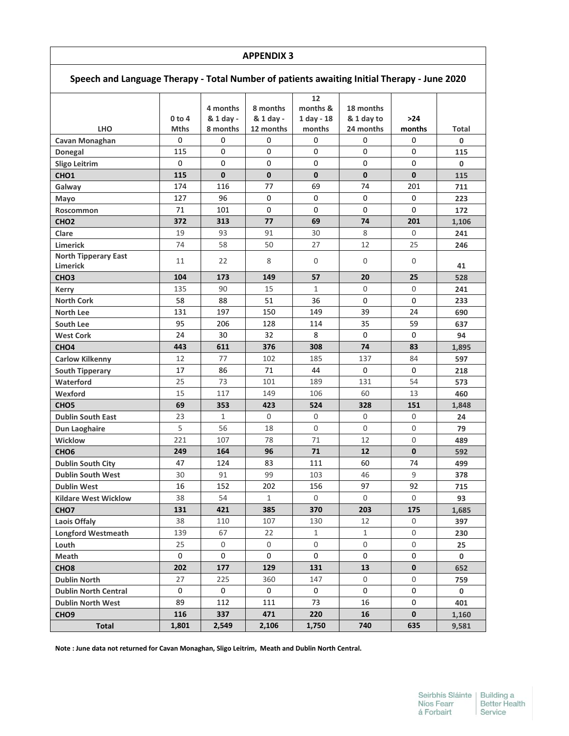| Speech and Language Therapy - Total Number of patients awaiting Initial Therapy - June 2020 |                         |                                   |                                    |                                        |                                      |               |       |  |  |
|---------------------------------------------------------------------------------------------|-------------------------|-----------------------------------|------------------------------------|----------------------------------------|--------------------------------------|---------------|-------|--|--|
| <b>LHO</b>                                                                                  | $0$ to 4<br><b>Mths</b> | 4 months<br>& 1 day -<br>8 months | 8 months<br>& 1 day -<br>12 months | 12<br>months &<br>1 day - 18<br>months | 18 months<br>& 1 day to<br>24 months | >24<br>months | Total |  |  |
| Cavan Monaghan                                                                              | 0                       | 0                                 | 0                                  | 0                                      | 0                                    | 0             | 0     |  |  |
| <b>Donegal</b>                                                                              | 115                     | 0                                 | 0                                  | 0                                      | 0                                    | 0             | 115   |  |  |
| <b>Sligo Leitrim</b>                                                                        | 0                       | 0                                 | 0                                  | 0                                      | 0                                    | 0             | 0     |  |  |
| CHO <sub>1</sub>                                                                            | 115                     | $\mathbf{0}$                      | $\mathbf 0$                        | $\mathbf 0$                            | $\mathbf{0}$                         | 0             | 115   |  |  |
| Galway                                                                                      | 174                     | 116                               | 77                                 | 69                                     | 74                                   | 201           | 711   |  |  |
| Mayo                                                                                        | 127                     | 96                                | 0                                  | 0                                      | 0                                    | 0             | 223   |  |  |
| Roscommon                                                                                   | 71                      | 101                               | $\mathbf 0$                        | $\Omega$                               | $\Omega$                             | 0             | 172   |  |  |
| CHO <sub>2</sub>                                                                            | 372                     | 313                               | 77                                 | 69                                     | 74                                   | 201           | 1,106 |  |  |
| Clare                                                                                       | 19                      | 93                                | 91                                 | 30                                     | 8                                    | 0             | 241   |  |  |
| <b>Limerick</b>                                                                             | 74                      | 58                                | 50                                 | 27                                     | 12                                   | 25            | 246   |  |  |
| <b>North Tipperary East</b><br>Limerick                                                     | 11                      | 22                                | 8                                  | 0                                      | 0                                    | 0             | 41    |  |  |
| CHO <sub>3</sub>                                                                            | 104                     | 173                               | 149                                | 57                                     | 20                                   | 25            | 528   |  |  |
| <b>Kerry</b>                                                                                | 135                     | 90                                | 15                                 | $\mathbf{1}$                           | 0                                    | 0             | 241   |  |  |
| <b>North Cork</b>                                                                           | 58                      | 88                                | 51                                 | 36                                     | $\mathbf 0$                          | 0             | 233   |  |  |
| <b>North Lee</b>                                                                            | 131                     | 197                               | 150                                | 149                                    | 39                                   | 24            | 690   |  |  |
| South Lee                                                                                   | 95                      | 206                               | 128                                | 114                                    | 35                                   | 59            | 637   |  |  |
| <b>West Cork</b>                                                                            | 24                      | 30                                | 32                                 | 8                                      | 0                                    | 0             | 94    |  |  |
| CHO <sub>4</sub>                                                                            | 443                     | 611                               | 376                                | 308                                    | 74                                   | 83            | 1,895 |  |  |
| <b>Carlow Kilkenny</b>                                                                      | 12                      | 77                                | 102                                | 185                                    | 137                                  | 84            | 597   |  |  |
| <b>South Tipperary</b>                                                                      | 17                      | 86                                | 71                                 | 44                                     | 0                                    | 0             | 218   |  |  |
| Waterford                                                                                   | 25                      | 73                                | 101                                | 189                                    | 131                                  | 54            | 573   |  |  |
| Wexford                                                                                     | 15                      | 117                               | 149                                | 106                                    | 60                                   | 13            | 460   |  |  |
| CHO <sub>5</sub>                                                                            | 69                      | 353                               | 423                                | 524                                    | 328                                  | 151           | 1,848 |  |  |
| <b>Dublin South East</b>                                                                    | 23                      | 1                                 | 0                                  | 0                                      | 0                                    | 0             | 24    |  |  |
| Dun Laoghaire                                                                               | 5                       | 56                                | 18                                 | $\mathbf 0$                            | $\mathbf 0$                          | 0             | 79    |  |  |
| <b>Wicklow</b>                                                                              | 221                     | 107                               | 78                                 | 71                                     | 12                                   | 0             | 489   |  |  |
| CHO <sub>6</sub>                                                                            | 249                     | 164                               | 96                                 | 71                                     | 12                                   | $\mathbf{0}$  | 592   |  |  |
| <b>Dublin South City</b>                                                                    | 47                      | 124                               | 83                                 | 111                                    | 60                                   | 74            | 499   |  |  |
| <b>Dublin South West</b>                                                                    | 30                      | 91                                | 99                                 | 103                                    | 46                                   | 9             | 378   |  |  |
| <b>Dublin West</b>                                                                          | 16                      | 152                               | 202                                | 156                                    | 97                                   | 92            | 715   |  |  |
| <b>Kildare West Wicklow</b>                                                                 | 38                      | 54                                | $\mathbf{1}$                       | $\mathsf{O}$                           | $\mathbf 0$                          | 0             | 93    |  |  |
| CHO <sub>7</sub>                                                                            | 131                     | 421                               | 385                                | 370                                    | 203                                  | 175           | 1,685 |  |  |
| Laois Offaly                                                                                | 38                      | 110                               | 107                                | 130                                    | 12                                   | 0             | 397   |  |  |
| <b>Longford Westmeath</b>                                                                   | 139                     | 67                                | 22                                 | $\mathbf{1}$                           | $\mathbf{1}$                         | 0             | 230   |  |  |
| Louth                                                                                       | 25                      | 0                                 | 0                                  | $\mathsf{O}$                           | 0                                    | 0             | 25    |  |  |
| Meath                                                                                       | 0                       | 0                                 | 0                                  | 0                                      | 0                                    | 0             | 0     |  |  |
| CHO <sub>8</sub>                                                                            | 202                     | 177                               | 129                                | 131                                    | 13                                   | $\mathbf 0$   | 652   |  |  |
| <b>Dublin North</b>                                                                         | 27                      | 225                               | 360                                | 147                                    | $\mathbf 0$                          | $\mathsf 0$   | 759   |  |  |
| <b>Dublin North Central</b>                                                                 | 0                       | 0                                 | 0                                  | 0                                      | 0                                    | 0             | 0     |  |  |
| <b>Dublin North West</b>                                                                    | 89                      | 112                               | 111                                | 73                                     | 16                                   | 0             | 401   |  |  |
| CHO <sub>9</sub>                                                                            | 116                     | 337                               | 471                                | 220                                    | 16                                   | $\mathbf 0$   | 1,160 |  |  |
| <b>Total</b>                                                                                | 1,801                   | 2,549                             | 2,106                              | 1,750                                  | 740                                  | 635           | 9,581 |  |  |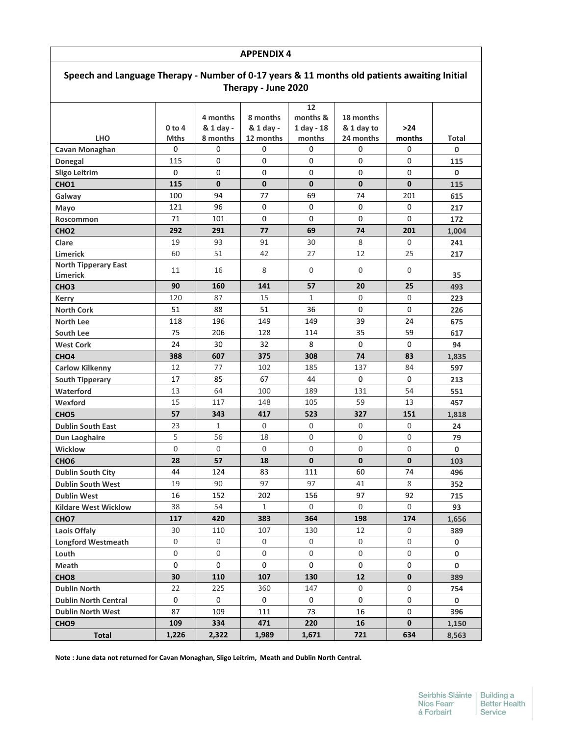| Speech and Language Therapy - Number of 0-17 years & 11 months old patients awaiting Initial<br>Therapy - June 2020 |                                  |                                   |                                    |                                          |                                      |                 |       |  |  |
|---------------------------------------------------------------------------------------------------------------------|----------------------------------|-----------------------------------|------------------------------------|------------------------------------------|--------------------------------------|-----------------|-------|--|--|
| <b>LHO</b>                                                                                                          | 0 <sub>to 4</sub><br><b>Mths</b> | 4 months<br>& 1 day -<br>8 months | 8 months<br>& 1 day -<br>12 months | 12<br>months &<br>$1$ day - 18<br>months | 18 months<br>& 1 day to<br>24 months | $>24$<br>months | Total |  |  |
|                                                                                                                     |                                  |                                   |                                    |                                          |                                      |                 |       |  |  |
| Cavan Monaghan                                                                                                      | 0                                | 0                                 | 0                                  | 0                                        | 0                                    | 0               | 0     |  |  |
| Donegal                                                                                                             | 115                              | 0                                 | 0                                  | 0                                        | 0                                    | 0               | 115   |  |  |
| <b>Sligo Leitrim</b>                                                                                                | $\Omega$                         | 0                                 | 0                                  | 0                                        | 0                                    | 0               | 0     |  |  |
| CHO <sub>1</sub>                                                                                                    | 115                              | 0                                 | 0                                  | $\mathbf{0}$                             | $\mathbf{0}$                         | 0               | 115   |  |  |
| Galway                                                                                                              | 100                              | 94                                | 77                                 | 69                                       | 74                                   | 201             | 615   |  |  |
| Mayo                                                                                                                | 121                              | 96                                | 0                                  | 0                                        | 0                                    | 0               | 217   |  |  |
| <b>Roscommon</b>                                                                                                    | 71                               | 101                               | 0                                  | 0                                        | 0                                    | 0               | 172   |  |  |
| CHO <sub>2</sub>                                                                                                    | 292                              | 291                               | 77                                 | 69                                       | 74                                   | 201             | 1,004 |  |  |
| Clare                                                                                                               | 19                               | 93                                | 91                                 | 30                                       | 8                                    | 0               | 241   |  |  |
| <b>Limerick</b>                                                                                                     | 60                               | 51                                | 42                                 | 27                                       | 12                                   | 25              | 217   |  |  |
| <b>North Tipperary East</b><br><b>Limerick</b>                                                                      | 11                               | 16                                | 8                                  | 0                                        | $\Omega$                             | $\Omega$        | 35    |  |  |
| CHO <sub>3</sub>                                                                                                    | 90                               | 160                               | 141                                | 57                                       | 20                                   | 25              | 493   |  |  |
| <b>Kerry</b>                                                                                                        | 120                              | 87                                | 15                                 | 1                                        | 0                                    | 0               | 223   |  |  |
| <b>North Cork</b>                                                                                                   | 51                               | 88                                | 51                                 | 36                                       | 0                                    | 0               | 226   |  |  |
| <b>North Lee</b>                                                                                                    | 118                              | 196                               | 149                                | 149                                      | 39                                   | 24              | 675   |  |  |
| South Lee                                                                                                           | 75                               | 206                               | 128                                | 114                                      | 35                                   | 59              | 617   |  |  |
| <b>West Cork</b>                                                                                                    | 24                               | 30                                | 32                                 | 8                                        | 0                                    | 0               | 94    |  |  |
| CHO <sub>4</sub>                                                                                                    | 388                              | 607                               | 375                                | 308                                      | 74                                   | 83              | 1,835 |  |  |
| <b>Carlow Kilkenny</b>                                                                                              | 12                               | 77                                | 102                                | 185                                      | 137                                  | 84              | 597   |  |  |
| <b>South Tipperary</b>                                                                                              | 17                               | 85                                | 67                                 | 44                                       | 0                                    | 0               | 213   |  |  |
| Waterford                                                                                                           | 13                               | 64                                | 100                                | 189                                      | 131                                  | 54              | 551   |  |  |
| Wexford                                                                                                             | 15                               | 117                               | 148                                | 105                                      | 59                                   | 13              | 457   |  |  |
| CHO <sub>5</sub>                                                                                                    | 57                               | 343                               | 417                                | 523                                      | 327                                  | 151             | 1,818 |  |  |
| <b>Dublin South East</b>                                                                                            | 23                               | 1                                 | 0                                  | 0                                        | 0                                    | 0               | 24    |  |  |
| Dun Laoghaire                                                                                                       | 5                                | 56                                | 18                                 | $\Omega$                                 | 0                                    | 0               | 79    |  |  |
| <b>Wicklow</b>                                                                                                      | 0                                | 0                                 | 0                                  | 0                                        | 0                                    | 0               | 0     |  |  |
| CHO <sub>6</sub>                                                                                                    | 28                               | 57                                | 18                                 | $\mathbf{0}$                             | $\bf{0}$                             | $\bf{0}$        | 103   |  |  |
| <b>Dublin South City</b>                                                                                            | 44                               | 124                               | 83                                 | 111                                      | 60                                   | 74              | 496   |  |  |
| <b>Dublin South West</b>                                                                                            | 19                               | 90                                | 97                                 | 97                                       | 41                                   | 8               | 352   |  |  |
| <b>Dublin West</b>                                                                                                  | 16                               | 152                               | 202                                | 156                                      | 97                                   | 92              | 715   |  |  |
| <b>Kildare West Wicklow</b>                                                                                         | 38                               | 54                                | $\mathbf{1}$                       | 0                                        | $\mathsf{O}$                         | 0               | 93    |  |  |
| CHO <sub>7</sub>                                                                                                    | 117                              | 420                               | 383                                | 364                                      | 198                                  | 174             | 1,656 |  |  |
| <b>Laois Offaly</b>                                                                                                 | 30                               | 110                               | 107                                | 130                                      | 12                                   | 0               | 389   |  |  |
| <b>Longford Westmeath</b>                                                                                           | 0                                | 0                                 | 0                                  | 0                                        | 0                                    | 0               | 0     |  |  |
| Louth                                                                                                               | 0                                | 0                                 | 0                                  | 0                                        | 0                                    | 0               | 0     |  |  |
| Meath                                                                                                               | 0                                | 0                                 | 0                                  | 0                                        | 0                                    | 0               | 0     |  |  |
| CHO <sub>8</sub>                                                                                                    | 30                               | 110                               | 107                                | 130                                      | 12                                   | 0               | 389   |  |  |
| <b>Dublin North</b>                                                                                                 | 22                               | 225                               | 360                                | 147                                      | 0                                    | 0               | 754   |  |  |
| <b>Dublin North Central</b>                                                                                         | 0                                | 0                                 | 0                                  | 0                                        | 0                                    | 0               | 0     |  |  |
| <b>Dublin North West</b>                                                                                            | 87                               | 109                               | 111                                | 73                                       | 16                                   | 0               | 396   |  |  |
| CHO <sub>9</sub>                                                                                                    | 109                              | 334                               | 471                                | 220                                      | 16                                   | 0               | 1,150 |  |  |
| Total                                                                                                               | 1,226                            | 2,322                             | 1,989                              | 1,671                                    | 721                                  | 634             | 8,563 |  |  |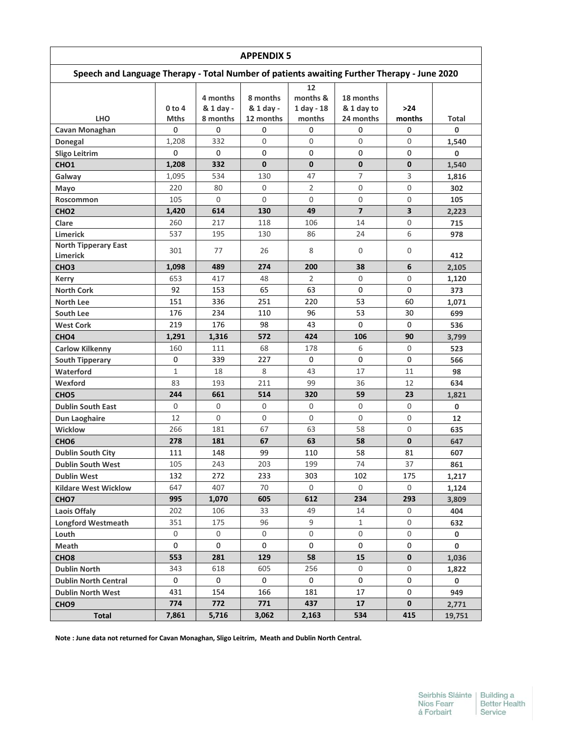| <b>APPENDIX 5</b>                                                                           |                       |                                   |                                    |                                          |                                      |                     |              |  |  |
|---------------------------------------------------------------------------------------------|-----------------------|-----------------------------------|------------------------------------|------------------------------------------|--------------------------------------|---------------------|--------------|--|--|
| Speech and Language Therapy - Total Number of patients awaiting Further Therapy - June 2020 |                       |                                   |                                    |                                          |                                      |                     |              |  |  |
| <b>LHO</b>                                                                                  | 0 to 4<br><b>Mths</b> | 4 months<br>& 1 day -<br>8 months | 8 months<br>& 1 day -<br>12 months | 12<br>months &<br>$1$ day - 18<br>months | 18 months<br>& 1 day to<br>24 months | $>24$<br>months     | Total        |  |  |
| Cavan Monaghan                                                                              | 0                     | 0                                 | 0                                  | 0                                        | 0                                    | 0                   | 0            |  |  |
| Donegal                                                                                     | 1,208                 | 332                               | 0                                  | $\Omega$                                 | $\Omega$                             | $\Omega$            | 1.540        |  |  |
| <b>Sligo Leitrim</b>                                                                        | $\Omega$              | 0                                 | 0                                  | 0                                        | 0                                    | 0                   | $\mathbf{0}$ |  |  |
| CHO <sub>1</sub>                                                                            | 1,208                 | 332                               | 0                                  | $\mathbf{0}$                             | $\mathbf{0}$                         | 0                   | 1,540        |  |  |
| Galway                                                                                      | 1,095                 | 534                               | 130                                | 47                                       | $\overline{7}$                       | 3                   | 1,816        |  |  |
| Mayo                                                                                        | 220                   | 80                                | 0                                  | 2                                        | 0                                    | 0                   | 302          |  |  |
| <b>Roscommon</b>                                                                            | 105                   | $\Omega$                          | 0                                  | $\Omega$                                 | $\Omega$                             | 0                   | 105          |  |  |
| CHO <sub>2</sub>                                                                            | 1,420                 | 614                               | 130                                | 49                                       | $\overline{7}$                       | 3                   | 2,223        |  |  |
| Clare                                                                                       | 260                   | 217                               | 118                                | 106                                      | 14                                   | 0                   | 715          |  |  |
| <b>Limerick</b>                                                                             | 537                   | 195                               | 130                                | 86                                       | 24                                   | 6                   | 978          |  |  |
| <b>North Tipperary East</b><br><b>Limerick</b>                                              | 301                   | 77                                | 26                                 | 8                                        | $\Omega$                             | 0                   | 412          |  |  |
| CHO <sub>3</sub>                                                                            | 1,098                 | 489                               | 274                                | 200                                      | 38                                   | 6                   | 2,105        |  |  |
| <b>Kerry</b>                                                                                | 653                   | 417                               | 48                                 | 2                                        | $\Omega$                             | 0                   | 1,120        |  |  |
| <b>North Cork</b>                                                                           | 92                    | 153                               | 65                                 | 63                                       | $\Omega$                             | 0                   | 373          |  |  |
| North Lee                                                                                   | 151                   | 336                               | 251                                | 220                                      | 53                                   | 60                  | 1,071        |  |  |
| South Lee                                                                                   | 176                   | 234                               | 110                                | 96                                       | 53                                   | 30                  | 699          |  |  |
| <b>West Cork</b>                                                                            | 219                   | 176                               | 98                                 | 43                                       | $\Omega$                             | 0                   | 536          |  |  |
| CHO <sub>4</sub>                                                                            | 1,291                 | 1,316                             | 572                                | 424                                      | 106                                  | 90                  | 3,799        |  |  |
| <b>Carlow Kilkenny</b>                                                                      | 160                   | 111                               | 68                                 | 178                                      | 6                                    | 0                   | 523          |  |  |
| <b>South Tipperary</b>                                                                      | 0                     | 339                               | 227                                | 0                                        | $\Omega$                             | 0                   | 566          |  |  |
| Waterford                                                                                   | $\mathbf{1}$          | 18                                | 8                                  | 43                                       | 17                                   | 11                  | 98           |  |  |
| Wexford                                                                                     | 83                    | 193                               | 211                                | 99                                       | 36                                   | 12                  | 634          |  |  |
| CHO <sub>5</sub>                                                                            | 244                   | 661                               | 514                                | 320                                      | 59                                   | 23                  | 1,821        |  |  |
| <b>Dublin South East</b>                                                                    | $\Omega$              | $\Omega$                          | 0                                  | $\Omega$                                 | $\Omega$                             | $\Omega$            | $\mathbf{0}$ |  |  |
| Dun Laoghaire                                                                               | 12                    | $\Omega$                          | 0                                  | $\Omega$                                 | $\Omega$                             | 0                   | 12           |  |  |
| <b>Wicklow</b>                                                                              | 266                   | 181                               | 67                                 | 63                                       | 58                                   | 0                   | 635          |  |  |
| CHO <sub>6</sub>                                                                            | 278                   | 181                               | 67                                 | 63                                       | 58                                   | $\mathbf{0}$        | 647          |  |  |
| <b>Dublin South City</b>                                                                    | 111                   | 148                               | 99                                 | 110                                      | 58                                   | 81                  | 607          |  |  |
| <b>Dublin South West</b>                                                                    | 105                   | 243                               | 203                                | 199                                      | 74                                   | 37                  | 861          |  |  |
| <b>Dublin West</b>                                                                          | 132                   | 272                               | 233                                | 303                                      | 102                                  | 175                 | 1,217        |  |  |
| <b>Kildare West Wicklow</b>                                                                 | 647                   | 407                               | 70                                 | 0                                        | 0                                    | 0                   | 1,124        |  |  |
| CHO <sub>7</sub>                                                                            | 995                   | 1,070                             | 605                                | 612                                      | 234                                  | 293                 | 3,809        |  |  |
| Laois Offaly                                                                                | 202                   | 106                               | 33                                 | 49                                       | 14                                   | $\mathsf{O}$        | 404          |  |  |
| <b>Longford Westmeath</b>                                                                   | 351                   | 175                               | 96                                 | 9                                        | 1                                    | $\mathsf{O}\xspace$ | 632          |  |  |
| Louth                                                                                       | 0                     | 0                                 | 0                                  | $\mathsf{O}\xspace$                      | 0                                    | $\mathbf 0$         | 0            |  |  |
| Meath                                                                                       | 0                     | 0                                 | $\mathbf 0$                        | 0                                        | 0                                    | 0                   | $\mathbf 0$  |  |  |
| CHO <sub>8</sub>                                                                            | 553                   | 281                               | 129                                | 58                                       | 15                                   | 0                   | 1,036        |  |  |
| <b>Dublin North</b>                                                                         | 343                   | 618                               | 605                                | 256                                      | 0                                    | $\mathsf{O}$        | 1,822        |  |  |
| <b>Dublin North Central</b>                                                                 | 0                     | 0                                 | 0                                  | 0                                        | $\mathbf 0$                          | 0                   | 0            |  |  |
| <b>Dublin North West</b>                                                                    | 431                   | 154                               | 166                                | 181                                      | 17                                   | 0                   | 949          |  |  |
| CHO <sub>9</sub>                                                                            | 774                   | 772                               | 771                                | 437                                      | 17                                   | 0                   | 2,771        |  |  |
| Total                                                                                       | 7,861                 | 5,716                             | 3,062                              | 2,163                                    | 534                                  | 415                 | 19,751       |  |  |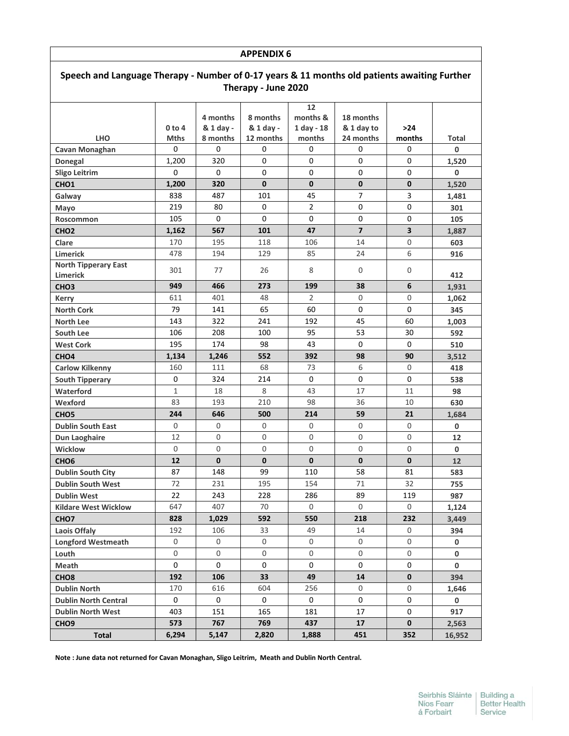| <b>APPENDIX 6</b>                                                                                                   |                         |                       |                        |                        |                         |               |           |  |  |
|---------------------------------------------------------------------------------------------------------------------|-------------------------|-----------------------|------------------------|------------------------|-------------------------|---------------|-----------|--|--|
| Speech and Language Therapy - Number of 0-17 years & 11 months old patients awaiting Further<br>Therapy - June 2020 |                         |                       |                        |                        |                         |               |           |  |  |
|                                                                                                                     |                         |                       |                        | 12                     |                         |               |           |  |  |
|                                                                                                                     |                         | 4 months              | 8 months               | months &               | 18 months               |               |           |  |  |
| <b>LHO</b>                                                                                                          | $0$ to 4<br><b>Mths</b> | & 1 day -<br>8 months | & 1 day -<br>12 months | $1$ day - 18<br>months | & 1 day to<br>24 months | >24<br>months | Total     |  |  |
| Cavan Monaghan                                                                                                      | 0                       | 0                     | 0                      | 0                      | 0                       | 0             | 0         |  |  |
| <b>Donegal</b>                                                                                                      | 1,200                   | 320                   | 0                      | $\Omega$               | 0                       | 0             | 1,520     |  |  |
| <b>Sligo Leitrim</b>                                                                                                | 0                       | 0                     | $\mathsf 0$            | 0                      | 0                       | 0             | 0         |  |  |
| CHO <sub>1</sub>                                                                                                    | 1,200                   | 320                   | $\mathbf{0}$           | 0                      | 0                       | 0             | 1,520     |  |  |
| Galway                                                                                                              | 838                     | 487                   | 101                    | 45                     | $\overline{7}$          | 3             | 1,481     |  |  |
| Mayo                                                                                                                | 219                     | 80                    | 0                      | $\overline{2}$         | 0                       | 0             | 301       |  |  |
| Roscommon                                                                                                           | 105                     | 0                     | $\Omega$               | $\mathbf 0$            | 0                       | 0             | 105       |  |  |
| CHO <sub>2</sub>                                                                                                    | 1,162                   | 567                   | 101                    | 47                     | $\overline{7}$          | 3             | 1,887     |  |  |
| Clare                                                                                                               | 170                     | 195                   | 118                    | 106                    | 14                      | 0             | 603       |  |  |
| <b>Limerick</b>                                                                                                     | 478                     | 194                   | 129                    | 85                     | 24                      | 6             | 916       |  |  |
| <b>North Tipperary East</b><br><b>Limerick</b>                                                                      | 301                     | 77                    | 26                     | 8                      | 0                       | 0             | 412       |  |  |
| CHO <sub>3</sub>                                                                                                    | 949                     | 466                   | 273                    | 199                    | 38                      | 6             | 1,931     |  |  |
| <b>Kerry</b>                                                                                                        | 611                     | 401                   | 48                     | 2                      | 0                       | 0             | 1,062     |  |  |
| <b>North Cork</b>                                                                                                   | 79                      | 141                   | 65                     | 60                     | 0                       | 0             | 345       |  |  |
| <b>North Lee</b>                                                                                                    | 143                     | 322                   | 241                    | 192                    | 45                      | 60            | 1,003     |  |  |
| South Lee                                                                                                           | 106                     | 208                   | 100                    | 95                     | 53                      | 30            | 592       |  |  |
| <b>West Cork</b>                                                                                                    | 195                     | 174                   | 98                     | 43                     | 0                       | 0             | 510       |  |  |
| CHO <sub>4</sub>                                                                                                    | 1,134                   | 1,246                 | 552                    | 392                    | 98                      | 90            | 3,512     |  |  |
| <b>Carlow Kilkenny</b>                                                                                              | 160                     | 111                   | 68                     | 73                     | 6                       | 0             | 418       |  |  |
| <b>South Tipperary</b>                                                                                              | 0                       | 324                   | 214                    | 0                      | 0                       | 0             | 538       |  |  |
| Waterford                                                                                                           | $\mathbf{1}$            | 18                    | 8                      | 43                     | 17                      | 11            | 98        |  |  |
| Wexford                                                                                                             | 83                      | 193                   | 210                    | 98                     | 36                      | 10            | 630       |  |  |
| CHO <sub>5</sub>                                                                                                    | 244                     | 646                   | 500                    | 214                    | 59                      | 21            | 1,684     |  |  |
| <b>Dublin South East</b>                                                                                            | $\mathbf 0$             | 0                     | 0                      | 0                      | 0                       | 0             | $\pmb{0}$ |  |  |
| Dun Laoghaire                                                                                                       | 12                      | 0                     | 0                      | $\mathbf 0$            | 0                       | 0             | 12        |  |  |
| <b>Wicklow</b>                                                                                                      | 0                       | 0                     | 0                      | 0                      | 0                       | 0             | $\pmb{0}$ |  |  |
| CHO <sub>6</sub>                                                                                                    | 12                      | 0                     | $\mathbf{0}$           | 0                      | 0                       | 0             | 12        |  |  |
| <b>Dublin South City</b>                                                                                            | 87                      | 148                   | 99                     | 110                    | 58                      | 81            | 583       |  |  |
| <b>Dublin South West</b>                                                                                            | 72                      | 231                   | 195                    | 154                    | 71                      | 32            | 755       |  |  |
| <b>Dublin West</b>                                                                                                  | 22                      | 243                   | 228                    | 286                    | 89                      | 119           | 987       |  |  |
| <b>Kildare West Wicklow</b>                                                                                         | 647                     | 407                   | 70                     | 0                      | 0                       | 0             | 1,124     |  |  |
| CHO <sub>7</sub>                                                                                                    | 828                     | 1,029                 | 592                    | 550                    | 218                     | 232           | 3,449     |  |  |
| Laois Offaly                                                                                                        | 192                     | 106                   | 33                     | 49                     | 14                      | 0             | 394       |  |  |
| <b>Longford Westmeath</b>                                                                                           | 0                       | 0                     | 0                      | 0                      | 0                       | 0             | 0         |  |  |
| Louth                                                                                                               | 0                       | 0                     | 0                      | 0                      | 0                       | 0             | 0         |  |  |
| Meath                                                                                                               | 0                       | 0                     | 0                      | 0                      | 0                       | 0             | 0         |  |  |
| CHO <sub>8</sub>                                                                                                    | 192                     | 106                   | 33                     | 49                     | 14                      | 0             | 394       |  |  |
| <b>Dublin North</b>                                                                                                 | 170                     | 616                   | 604                    | 256                    | 0                       | 0             | 1,646     |  |  |
| <b>Dublin North Central</b>                                                                                         | 0                       | 0                     | 0                      | 0                      | 0                       | 0             | 0         |  |  |
| <b>Dublin North West</b>                                                                                            | 403                     | 151                   | 165                    | 181                    | 17                      | 0             | 917       |  |  |
| CHO <sub>9</sub>                                                                                                    | 573                     | 767                   | 769                    | 437                    | 17                      | 0             | 2,563     |  |  |
| <b>Total</b>                                                                                                        | 6,294                   | 5,147                 | 2,820                  | 1,888                  | 451                     | 352           | 16,952    |  |  |